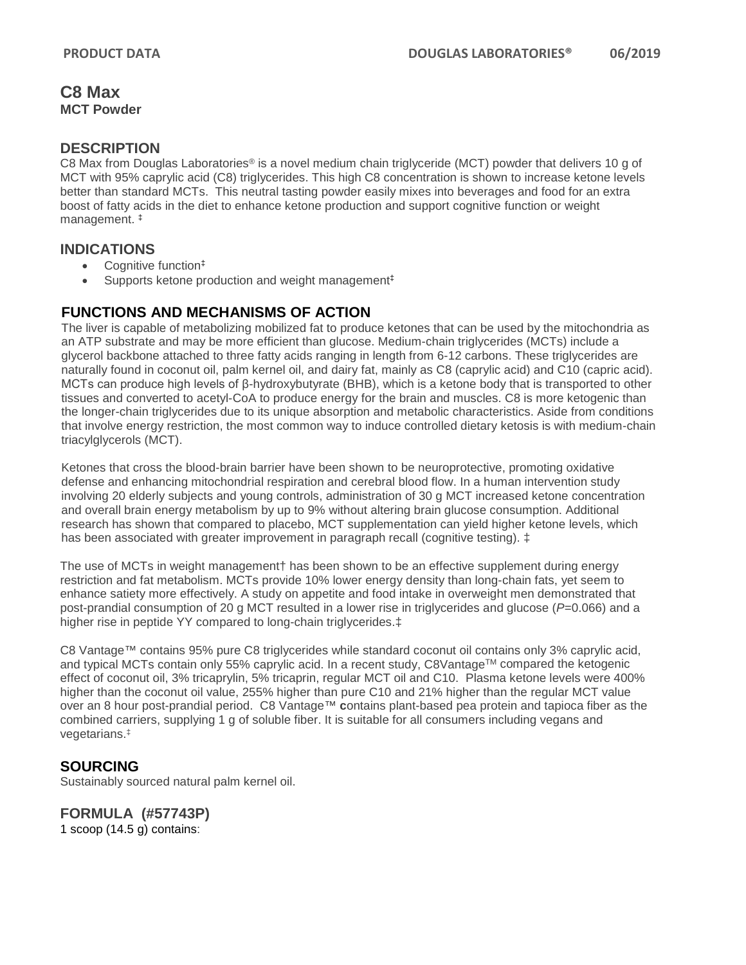### **C8 Max MCT Powder**

### **DESCRIPTION**

C8 Max from Douglas Laboratories® is a novel medium chain triglyceride (MCT) powder that delivers 10 g of MCT with 95% caprylic acid (C8) triglycerides. This high C8 concentration is shown to increase ketone levels better than standard MCTs. This neutral tasting powder easily mixes into beverages and food for an extra boost of fatty acids in the diet to enhance ketone production and support cognitive function or weight management. ‡

#### **INDICATIONS**

- Cognitive function<sup>‡</sup>
- Supports ketone production and weight management<sup>‡</sup>

### **FUNCTIONS AND MECHANISMS OF ACTION**

The liver is capable of metabolizing mobilized fat to produce ketones that can be used by the mitochondria as an ATP substrate and may be more efficient than glucose. Medium-chain triglycerides (MCTs) include a glycerol backbone attached to three fatty acids ranging in length from 6-12 carbons. These triglycerides are naturally found in coconut oil, palm kernel oil, and dairy fat, mainly as C8 (caprylic acid) and C10 (capric acid). MCTs can produce high levels of β-hydroxybutyrate (BHB), which is a ketone body that is transported to other tissues and converted to acetyl-CoA to produce energy for the brain and muscles. C8 is more ketogenic than the longer-chain triglycerides due to its unique absorption and metabolic characteristics. Aside from conditions that involve energy restriction, the most common way to induce controlled dietary ketosis is with medium-chain triacylglycerols (MCT).

Ketones that cross the blood-brain barrier have been shown to be neuroprotective, promoting oxidative defense and enhancing mitochondrial respiration and cerebral blood flow. In a human intervention study involving 20 elderly subjects and young controls, administration of 30 g MCT increased ketone concentration and overall brain energy metabolism by up to 9% without altering brain glucose consumption. Additional research has shown that compared to placebo, MCT supplementation can yield higher ketone levels, which has been associated with greater improvement in paragraph recall (cognitive testing).  $\ddagger$ 

The use of MCTs in weight management has been shown to be an effective supplement during energy restriction and fat metabolism. MCTs provide 10% lower energy density than long-chain fats, yet seem to enhance satiety more effectively. A study on appetite and food intake in overweight men demonstrated that post-prandial consumption of 20 g MCT resulted in a lower rise in triglycerides and glucose (*P*=0.066) and a higher rise in peptide YY compared to long-chain triglycerides.‡

C8 Vantage™ contains 95% pure C8 triglycerides while standard coconut oil contains only 3% caprylic acid, and typical MCTs contain only 55% caprylic acid. In a recent study, C8Vantage<sup>TM</sup> compared the ketogenic effect of coconut oil, 3% tricaprylin, 5% tricaprin, regular MCT oil and C10. Plasma ketone levels were 400% higher than the coconut oil value, 255% higher than pure C10 and 21% higher than the regular MCT value over an 8 hour post-prandial period. C8 Vantage™ **c**ontains plant-based pea protein and tapioca fiber as the combined carriers, supplying 1 g of soluble fiber. It is suitable for all consumers including vegans and vegetarians. ‡

### **SOURCING**

Sustainably sourced natural palm kernel oil.

# **FORMULA (#57743P)**

1 scoop (14.5 g) contains: